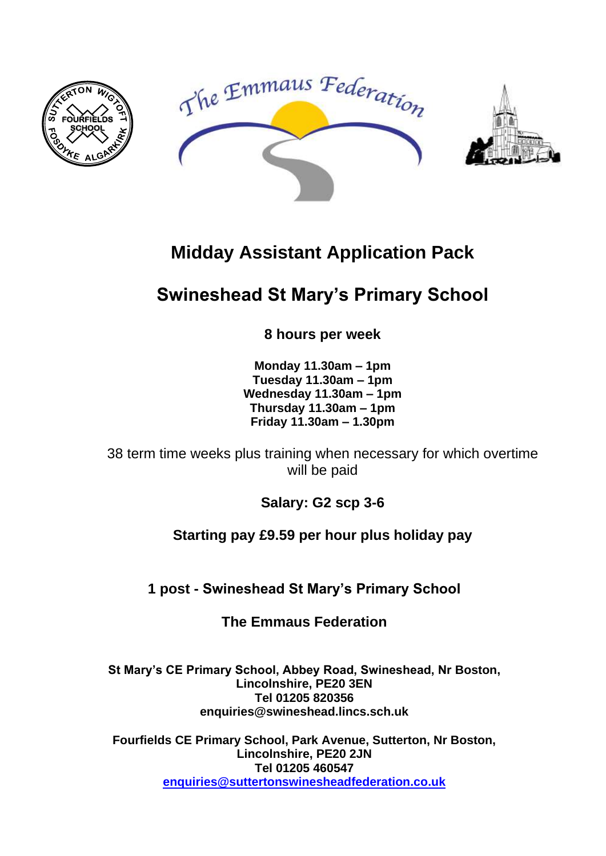

# **Midday Assistant Application Pack**

# **Swineshead St Mary's Primary School**

**8 hours per week**

**Monday 11.30am – 1pm Tuesday 11.30am – 1pm Wednesday 11.30am – 1pm Thursday 11.30am – 1pm Friday 11.30am – 1.30pm**

38 term time weeks plus training when necessary for which overtime will be paid

**Salary: G2 scp 3-6**

**Starting pay £9.59 per hour plus holiday pay**

**1 post - Swineshead St Mary's Primary School**

**The Emmaus Federation**

**St Mary's CE Primary School, Abbey Road, Swineshead, Nr Boston, Lincolnshire, PE20 3EN Tel 01205 820356 enquiries@swineshead.lincs.sch.uk**

**Fourfields CE Primary School, Park Avenue, Sutterton, Nr Boston, Lincolnshire, PE20 2JN Tel 01205 460547 [enquiries@suttertonswinesheadfederation.co.uk](mailto:enquiries@suttertonswinesheadfederation.co.uk)**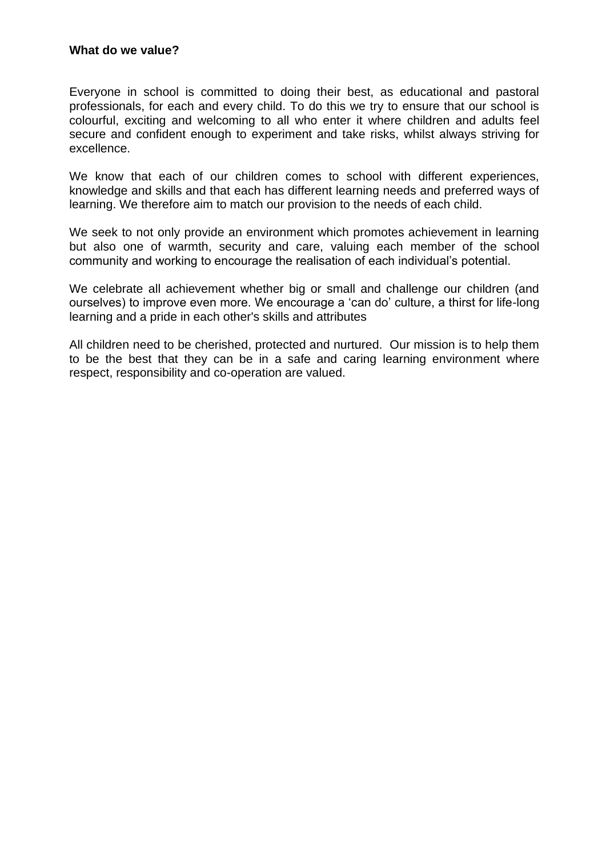Everyone in school is committed to doing their best, as educational and pastoral professionals, for each and every child. To do this we try to ensure that our school is colourful, exciting and welcoming to all who enter it where children and adults feel secure and confident enough to experiment and take risks, whilst always striving for excellence.

We know that each of our children comes to school with different experiences, knowledge and skills and that each has different learning needs and preferred ways of learning. We therefore aim to match our provision to the needs of each child.

We seek to not only provide an environment which promotes achievement in learning but also one of warmth, security and care, valuing each member of the school community and working to encourage the realisation of each individual's potential.

We celebrate all achievement whether big or small and challenge our children (and ourselves) to improve even more. We encourage a 'can do' culture, a thirst for life-long learning and a pride in each other's skills and attributes

All children need to be cherished, protected and nurtured. Our mission is to help them to be the best that they can be in a safe and caring learning environment where respect, responsibility and co-operation are valued.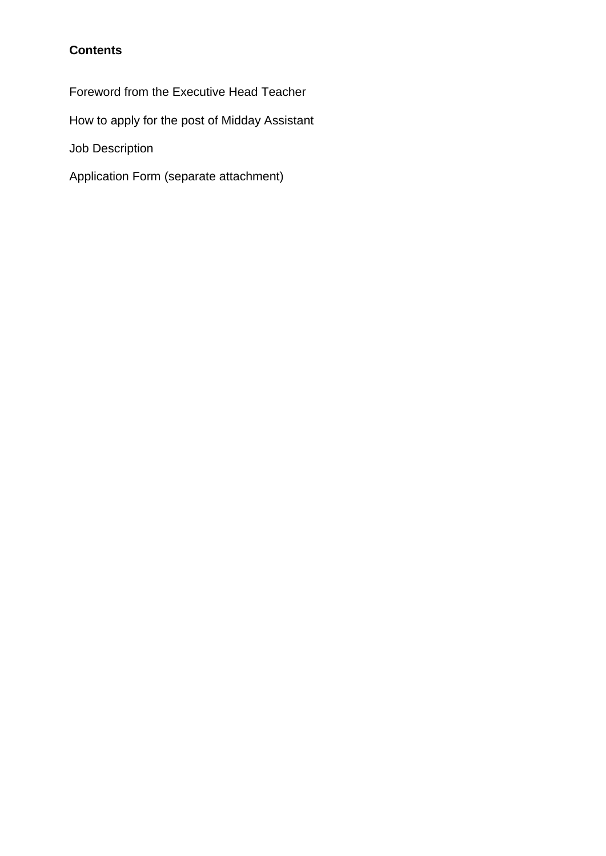## **Contents**

Foreword from the Executive Head Teacher

How to apply for the post of Midday Assistant

Job Description

Application Form (separate attachment)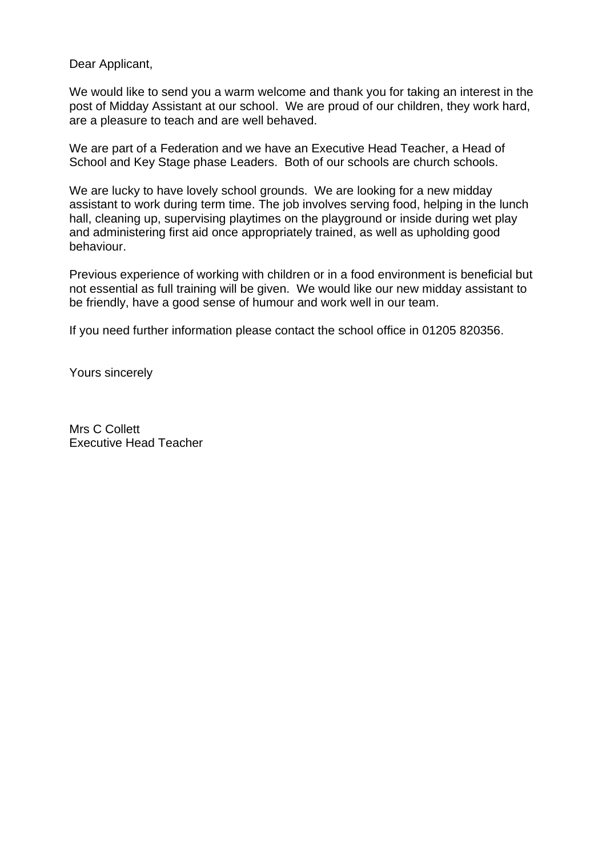Dear Applicant,

We would like to send you a warm welcome and thank you for taking an interest in the post of Midday Assistant at our school. We are proud of our children, they work hard, are a pleasure to teach and are well behaved.

We are part of a Federation and we have an Executive Head Teacher, a Head of School and Key Stage phase Leaders. Both of our schools are church schools.

We are lucky to have lovely school grounds. We are looking for a new midday assistant to work during term time. The job involves serving food, helping in the lunch hall, cleaning up, supervising playtimes on the playground or inside during wet play and administering first aid once appropriately trained, as well as upholding good behaviour.

Previous experience of working with children or in a food environment is beneficial but not essential as full training will be given. We would like our new midday assistant to be friendly, have a good sense of humour and work well in our team.

If you need further information please contact the school office in 01205 820356.

Yours sincerely

Mrs C Collett Executive Head Teacher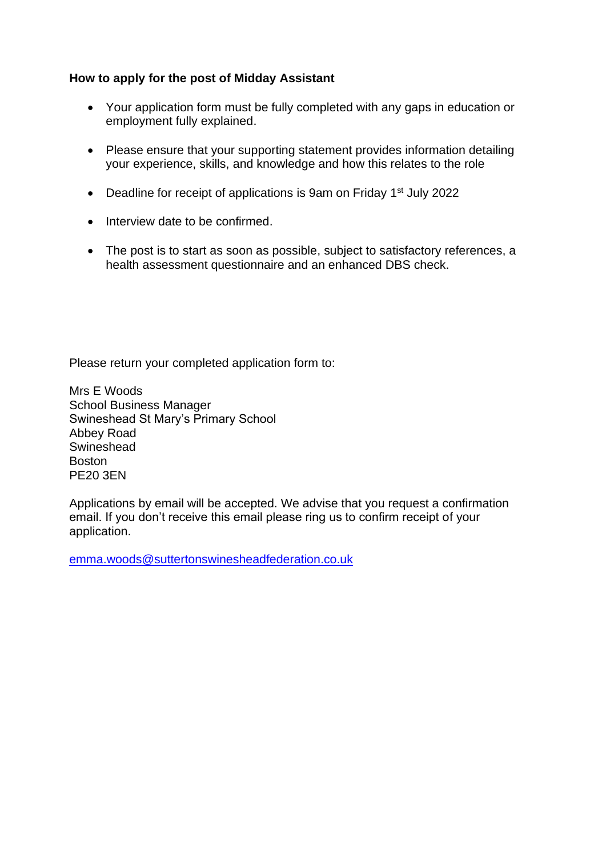#### **How to apply for the post of Midday Assistant**

- Your application form must be fully completed with any gaps in education or employment fully explained.
- Please ensure that your supporting statement provides information detailing your experience, skills, and knowledge and how this relates to the role
- Deadline for receipt of applications is 9am on Friday 1<sup>st</sup> July 2022
- Interview date to be confirmed.
- The post is to start as soon as possible, subject to satisfactory references, a health assessment questionnaire and an enhanced DBS check.

Please return your completed application form to:

Mrs E Woods School Business Manager Swineshead St Mary's Primary School Abbey Road **Swineshead** Boston PE20 3EN

Applications by email will be accepted. We advise that you request a confirmation email. If you don't receive this email please ring us to confirm receipt of your application.

[emma.woods@suttertonswinesheadfederation.co.uk](mailto:emma.woods@suttertonswinesheadfederation.co.uk)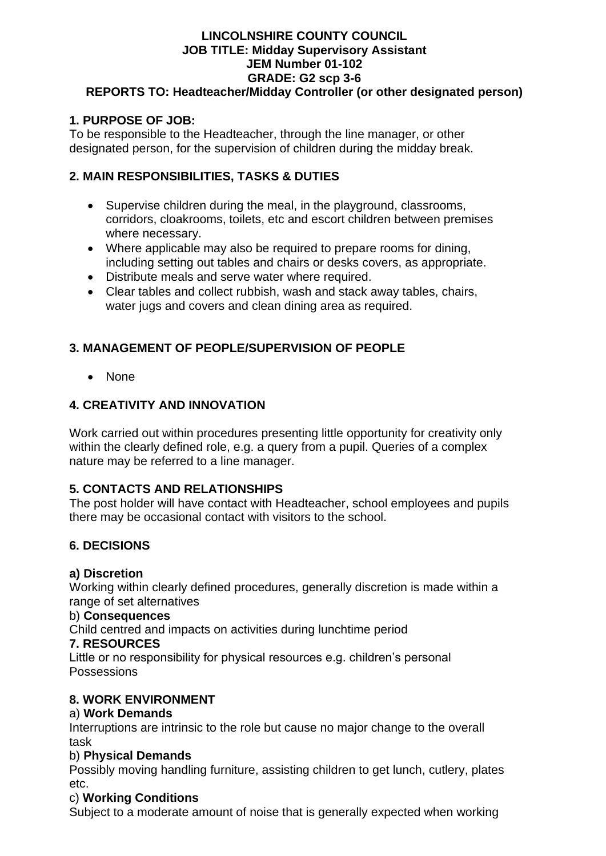#### **LINCOLNSHIRE COUNTY COUNCIL JOB TITLE: Midday Supervisory Assistant JEM Number 01-102 GRADE: G2 scp 3-6 REPORTS TO: Headteacher/Midday Controller (or other designated person)**

## **1. PURPOSE OF JOB:**

To be responsible to the Headteacher, through the line manager, or other designated person, for the supervision of children during the midday break.

## **2. MAIN RESPONSIBILITIES, TASKS & DUTIES**

- Supervise children during the meal, in the playground, classrooms, corridors, cloakrooms, toilets, etc and escort children between premises where necessary.
- Where applicable may also be required to prepare rooms for dining, including setting out tables and chairs or desks covers, as appropriate.
- Distribute meals and serve water where required.
- Clear tables and collect rubbish, wash and stack away tables, chairs, water jugs and covers and clean dining area as required.

## **3. MANAGEMENT OF PEOPLE/SUPERVISION OF PEOPLE**

• None

## **4. CREATIVITY AND INNOVATION**

Work carried out within procedures presenting little opportunity for creativity only within the clearly defined role, e.g. a query from a pupil. Queries of a complex nature may be referred to a line manager.

## **5. CONTACTS AND RELATIONSHIPS**

The post holder will have contact with Headteacher, school employees and pupils there may be occasional contact with visitors to the school.

## **6. DECISIONS**

## **a) Discretion**

Working within clearly defined procedures, generally discretion is made within a range of set alternatives

#### b) **Consequences**

Child centred and impacts on activities during lunchtime period

#### **7. RESOURCES**

Little or no responsibility for physical resources e.g. children's personal **Possessions** 

## **8. WORK ENVIRONMENT**

## a) **Work Demands**

Interruptions are intrinsic to the role but cause no major change to the overall task

## b) **Physical Demands**

Possibly moving handling furniture, assisting children to get lunch, cutlery, plates etc.

## c) **Working Conditions**

Subject to a moderate amount of noise that is generally expected when working